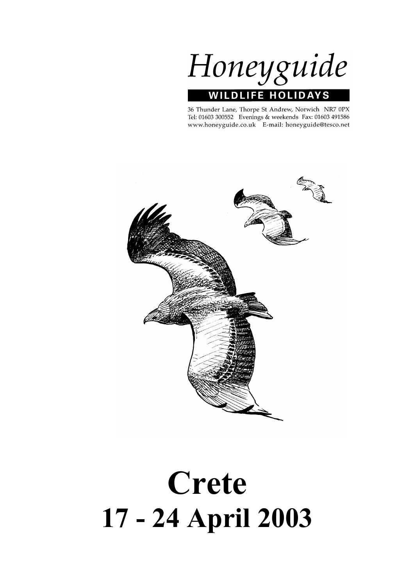Honeyguide **WILDLIFE HOLIDA** 

36 Thunder Lane, Thorpe St Andrew, Norwich NR7 0PX Tel: 01603 300552 Evenings & weekends Fax: 01603 491586 www.honeyguide.co.uk E-mail: honeyguide@tesco.net



# **Crete 17 - 24 April 2003**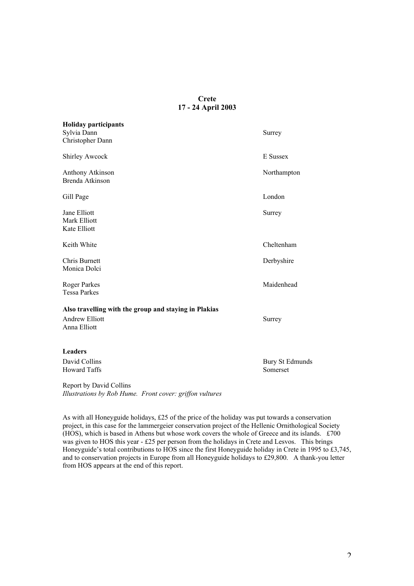# **Crete 17 - 24 April 2003**

| <b>Holiday participants</b><br>Sylvia Dann                                                     | Surrey                      |
|------------------------------------------------------------------------------------------------|-----------------------------|
| Christopher Dann                                                                               |                             |
| <b>Shirley Awcock</b>                                                                          | E Sussex                    |
| <b>Anthony Atkinson</b><br>Brenda Atkinson                                                     | Northampton                 |
| Gill Page                                                                                      | London                      |
| Jane Elliott<br>Mark Elliott<br>Kate Elliott                                                   | Surrey                      |
| Keith White                                                                                    | Cheltenham                  |
| Chris Burnett<br>Monica Dolci                                                                  | Derbyshire                  |
| <b>Roger Parkes</b><br><b>Tessa Parkes</b>                                                     | Maidenhead                  |
| Also travelling with the group and staying in Plakias<br><b>Andrew Elliott</b><br>Anna Elliott | Surrey                      |
| <b>Leaders</b>                                                                                 |                             |
| David Collins<br><b>Howard Taffs</b>                                                           | Bury St Edmunds<br>Somerset |
| $D_{\text{new}}$ and $L_{\text{new}}$ $D_{\text{new}}$ if $D_{\text{new}}$ if $D_{\text{new}}$ |                             |

Report by David Collins *Illustrations by Rob Hume. Front cover: griffon vultures*

As with all Honeyguide holidays, £25 of the price of the holiday was put towards a conservation project, in this case for the lammergeier conservation project of the Hellenic Ornithological Society (HOS), which is based in Athens but whose work covers the whole of Greece and its islands. £700 was given to HOS this year - £25 per person from the holidays in Crete and Lesvos. This brings Honeyguide's total contributions to HOS since the first Honeyguide holiday in Crete in 1995 to £3,745, and to conservation projects in Europe from all Honeyguide holidays to £29,800. A thank-you letter from HOS appears at the end of this report.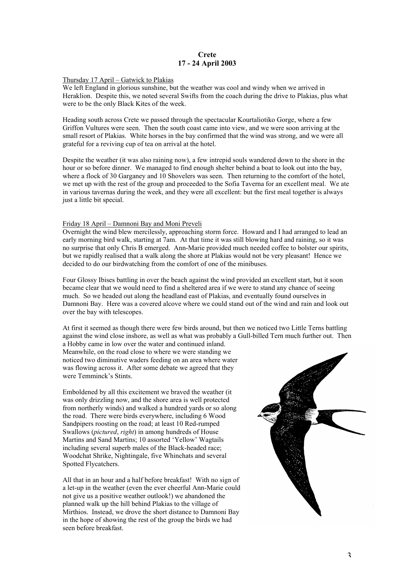## **Crete 17 - 24 April 2003**

#### Thursday 17 April – Gatwick to Plakias

We left England in glorious sunshine, but the weather was cool and windy when we arrived in Heraklion. Despite this, we noted several Swifts from the coach during the drive to Plakias, plus what were to be the only Black Kites of the week.

Heading south across Crete we passed through the spectacular Kourtaliotiko Gorge, where a few Griffon Vultures were seen. Then the south coast came into view, and we were soon arriving at the small resort of Plakias. White horses in the bay confirmed that the wind was strong, and we were all grateful for a reviving cup of tea on arrival at the hotel.

Despite the weather (it was also raining now), a few intrepid souls wandered down to the shore in the hour or so before dinner. We managed to find enough shelter behind a boat to look out into the bay, where a flock of 30 Garganey and 10 Shovelers was seen. Then returning to the comfort of the hotel, we met up with the rest of the group and proceeded to the Sofia Taverna for an excellent meal. We ate in various tavernas during the week, and they were all excellent: but the first meal together is always just a little bit special.

#### Friday 18 April – Damnoni Bay and Moni Preveli

Overnight the wind blew mercilessly, approaching storm force. Howard and I had arranged to lead an early morning bird walk, starting at 7am. At that time it was still blowing hard and raining, so it was no surprise that only Chris B emerged. Ann-Marie provided much needed coffee to bolster our spirits, but we rapidly realised that a walk along the shore at Plakias would not be very pleasant! Hence we decided to do our birdwatching from the comfort of one of the minibuses.

Four Glossy Ibises battling in over the beach against the wind provided an excellent start, but it soon became clear that we would need to find a sheltered area if we were to stand any chance of seeing much. So we headed out along the headland east of Plakias, and eventually found ourselves in Damnoni Bay. Here was a covered alcove where we could stand out of the wind and rain and look out over the bay with telescopes.

At first it seemed as though there were few birds around, but then we noticed two Little Terns battling against the wind close inshore, as well as what was probably a Gull-billed Tern much further out. Then

a Hobby came in low over the water and continued inland. Meanwhile, on the road close to where we were standing we noticed two diminutive waders feeding on an area where water was flowing across it. After some debate we agreed that they were Temminck's Stints.

Emboldened by all this excitement we braved the weather (it was only drizzling now, and the shore area is well protected from northerly winds) and walked a hundred yards or so along the road. There were birds everywhere, including 6 Wood Sandpipers roosting on the road; at least 10 Red-rumped Swallows (*pictured*, *right*) in among hundreds of House Martins and Sand Martins; 10 assorted 'Yellow' Wagtails including several superb males of the Black-headed race; Woodchat Shrike, Nightingale, five Whinchats and several Spotted Flycatchers.

All that in an hour and a half before breakfast! With no sign of a let-up in the weather (even the ever cheerful Ann-Marie could not give us a positive weather outlook!) we abandoned the planned walk up the hill behind Plakias to the village of Mirthios. Instead, we drove the short distance to Damnoni Bay in the hope of showing the rest of the group the birds we had seen before breakfast.

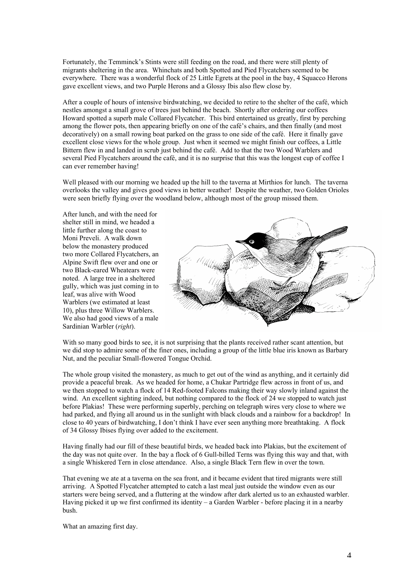Fortunately, the Temminck's Stints were still feeding on the road, and there were still plenty of migrants sheltering in the area. Whinchats and both Spotted and Pied Flycatchers seemed to be everywhere. There was a wonderful flock of 25 Little Egrets at the pool in the bay, 4 Squacco Herons gave excellent views, and two Purple Herons and a Glossy Ibis also flew close by.

After a couple of hours of intensive birdwatching, we decided to retire to the shelter of the café, which nestles amongst a small grove of trees just behind the beach. Shortly after ordering our coffees Howard spotted a superb male Collared Flycatcher. This bird entertained us greatly, first by perching among the flower pots, then appearing briefly on one of the café's chairs, and then finally (and most decoratively) on a small rowing boat parked on the grass to one side of the café. Here it finally gave excellent close views for the whole group. Just when it seemed we might finish our coffees, a Little Bittern flew in and landed in scrub just behind the café. Add to that the two Wood Warblers and several Pied Flycatchers around the café, and it is no surprise that this was the longest cup of coffee I can ever remember having!

Well pleased with our morning we headed up the hill to the taverna at Mirthios for lunch. The taverna overlooks the valley and gives good views in better weather! Despite the weather, two Golden Orioles were seen briefly flying over the woodland below, although most of the group missed them.

After lunch, and with the need for shelter still in mind, we headed a little further along the coast to Moni Preveli. A walk down below the monastery produced two more Collared Flycatchers, an Alpine Swift flew over and one or two Black-eared Wheatears were noted. A large tree in a sheltered gully, which was just coming in to leaf, was alive with Wood Warblers (we estimated at least 10), plus three Willow Warblers. We also had good views of a male Sardinian Warbler (*right*).



With so many good birds to see, it is not surprising that the plants received rather scant attention, but we did stop to admire some of the finer ones, including a group of the little blue iris known as Barbary Nut, and the peculiar Small-flowered Tongue Orchid.

The whole group visited the monastery, as much to get out of the wind as anything, and it certainly did provide a peaceful break. As we headed for home, a Chukar Partridge flew across in front of us, and we then stopped to watch a flock of 14 Red-footed Falcons making their way slowly inland against the wind. An excellent sighting indeed, but nothing compared to the flock of 24 we stopped to watch just before Plakias! These were performing superbly, perching on telegraph wires very close to where we had parked, and flying all around us in the sunlight with black clouds and a rainbow for a backdrop! In close to 40 years of birdwatching, I don't think I have ever seen anything more breathtaking. A flock of 34 Glossy Ibises flying over added to the excitement.

Having finally had our fill of these beautiful birds, we headed back into Plakias, but the excitement of the day was not quite over. In the bay a flock of 6 Gull-billed Terns was flying this way and that, with a single Whiskered Tern in close attendance. Also, a single Black Tern flew in over the town.

That evening we ate at a taverna on the sea front, and it became evident that tired migrants were still arriving. A Spotted Flycatcher attempted to catch a last meal just outside the window even as our starters were being served, and a fluttering at the window after dark alerted us to an exhausted warbler. Having picked it up we first confirmed its identity – a Garden Warbler - before placing it in a nearby bush.

What an amazing first day.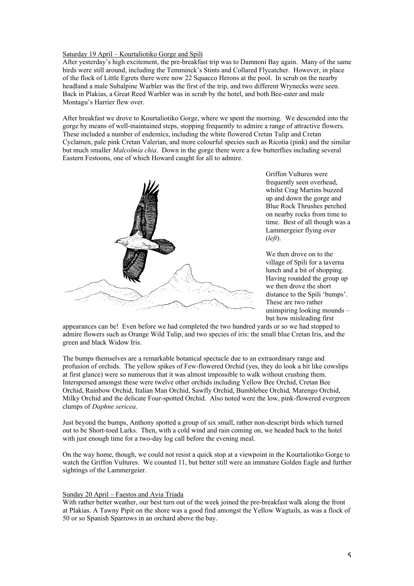# Saturday 19 April – Kourtaliotiko Gorge and Spili

After yesterday's high excitement, the pre-breakfast trip was to Damnoni Bay again. Many of the same birds were still around, including the Temminck's Stints and Collared Flycatcher. However, in place of the flock of Little Egrets there were now 22 Squacco Herons at the pool. In scrub on the nearby headland a male Subalpine Warbler was the first of the trip, and two different Wrynecks were seen. Back in Plakias, a Great Reed Warbler was in scrub by the hotel, and both Bee-eater and male Montagu's Harrier flew over.

After breakfast we drove to Kourtaliotiko Gorge, where we spent the morning. We descended into the gorge by means of well-maintained steps, stopping frequently to admire a range of attractive flowers. These included a number of endemics, including the white flowered Cretan Tulip and Cretan Cyclamen, pale pink Cretan Valerian, and more colourful species such as Ricotia (pink) and the similar but much smaller *Malcolmia chia*. Down in the gorge there were a few butterflies including several Eastern Festoons, one of which Howard caught for all to admire.



Griffon Vultures were frequently seen overhead, whilst Crag Martins buzzed up and down the gorge and Blue Rock Thrushes perched on nearby rocks from time to time. Best of all though was a Lammergeier flying over (*left*).

We then drove on to the village of Spili for a taverna lunch and a bit of shopping. Having rounded the group up we then drove the short distance to the Spili 'bumps'. These are two rather uninspiring looking mounds – but how misleading first

appearances can be! Even before we had completed the two hundred yards or so we had stopped to admire flowers such as Orange Wild Tulip, and two species of iris: the small blue Cretan Iris, and the green and black Widow Iris.

The bumps themselves are a remarkable botanical spectacle due to an extraordinary range and profusion of orchids. The yellow spikes of Few-flowered Orchid (yes, they do look a bit like cowslips at first glance) were so numerous that it was almost impossible to walk without crushing them. Interspersed amongst these were twelve other orchids including Yellow Bee Orchid, Cretan Bee Orchid, Rainbow Orchid, Italian Man Orchid, Sawfly Orchid, Bumblebee Orchid, Marengo Orchid, Milky Orchid and the delicate Four-spotted Orchid. Also noted were the low, pink-flowered evergreen clumps of *Daphne sericea*.

Just beyond the bumps, Anthony spotted a group of six small, rather non-descript birds which turned out to be Short-toed Larks. Then, with a cold wind and rain coming on, we headed back to the hotel with just enough time for a two-day log call before the evening meal.

On the way home, though, we could not resist a quick stop at a viewpoint in the Kourtaliotiko Gorge to watch the Griffon Vultures. We counted 11, but better still were an immature Golden Eagle and further sightings of the Lammergeier.

#### Sunday 20 April – Faestos and Ayia Triada

With rather better weather, our best turn out of the week joined the pre-breakfast walk along the front at Plakias. A Tawny Pipit on the shore was a good find amongst the Yellow Wagtails, as was a flock of 50 or so Spanish Sparrows in an orchard above the bay.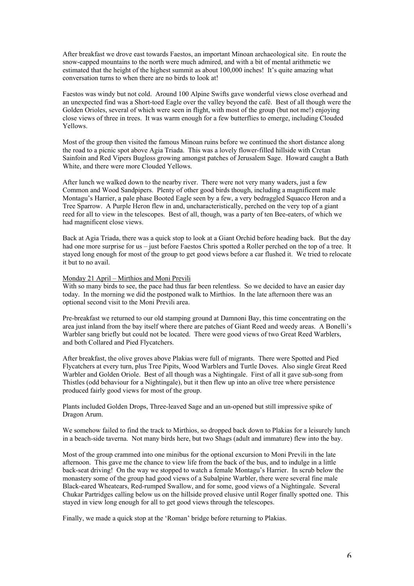After breakfast we drove east towards Faestos, an important Minoan archaeological site. En route the snow-capped mountains to the north were much admired, and with a bit of mental arithmetic we estimated that the height of the highest summit as about 100,000 inches! It's quite amazing what conversation turns to when there are no birds to look at!

Faestos was windy but not cold. Around 100 Alpine Swifts gave wonderful views close overhead and an unexpected find was a Short-toed Eagle over the valley beyond the café. Best of all though were the Golden Orioles, several of which were seen in flight, with most of the group (but not me!) enjoying close views of three in trees. It was warm enough for a few butterflies to emerge, including Clouded Yellows.

Most of the group then visited the famous Minoan ruins before we continued the short distance along the road to a picnic spot above Agia Triada. This was a lovely flower-filled hillside with Cretan Sainfoin and Red Vipers Bugloss growing amongst patches of Jerusalem Sage. Howard caught a Bath White, and there were more Clouded Yellows.

After lunch we walked down to the nearby river. There were not very many waders, just a few Common and Wood Sandpipers. Plenty of other good birds though, including a magnificent male Montagu's Harrier, a pale phase Booted Eagle seen by a few, a very bedraggled Squacco Heron and a Tree Sparrow. A Purple Heron flew in and, uncharacteristically, perched on the very top of a giant reed for all to view in the telescopes. Best of all, though, was a party of ten Bee-eaters, of which we had magnificent close views.

Back at Agia Triada, there was a quick stop to look at a Giant Orchid before heading back. But the day had one more surprise for us – just before Faestos Chris spotted a Roller perched on the top of a tree. It stayed long enough for most of the group to get good views before a car flushed it. We tried to relocate it but to no avail.

#### Monday 21 April – Mirthios and Moni Previli

With so many birds to see, the pace had thus far been relentless. So we decided to have an easier day today. In the morning we did the postponed walk to Mirthios. In the late afternoon there was an optional second visit to the Moni Previli area.

Pre-breakfast we returned to our old stamping ground at Damnoni Bay, this time concentrating on the area just inland from the bay itself where there are patches of Giant Reed and weedy areas. A Bonelli's Warbler sang briefly but could not be located. There were good views of two Great Reed Warblers, and both Collared and Pied Flycatchers.

After breakfast, the olive groves above Plakias were full of migrants. There were Spotted and Pied Flycatchers at every turn, plus Tree Pipits, Wood Warblers and Turtle Doves. Also single Great Reed Warbler and Golden Oriole. Best of all though was a Nightingale. First of all it gave sub-song from Thistles (odd behaviour for a Nightingale), but it then flew up into an olive tree where persistence produced fairly good views for most of the group.

Plants included Golden Drops, Three-leaved Sage and an un-opened but still impressive spike of Dragon Arum.

We somehow failed to find the track to Mirthios, so dropped back down to Plakias for a leisurely lunch in a beach-side taverna. Not many birds here, but two Shags (adult and immature) flew into the bay.

Most of the group crammed into one minibus for the optional excursion to Moni Previli in the late afternoon. This gave me the chance to view life from the back of the bus, and to indulge in a little back-seat driving! On the way we stopped to watch a female Montagu's Harrier. In scrub below the monastery some of the group had good views of a Subalpine Warbler, there were several fine male Black-eared Wheatears, Red-rumped Swallow, and for some, good views of a Nightingale. Several Chukar Partridges calling below us on the hillside proved elusive until Roger finally spotted one. This stayed in view long enough for all to get good views through the telescopes.

Finally, we made a quick stop at the 'Roman' bridge before returning to Plakias.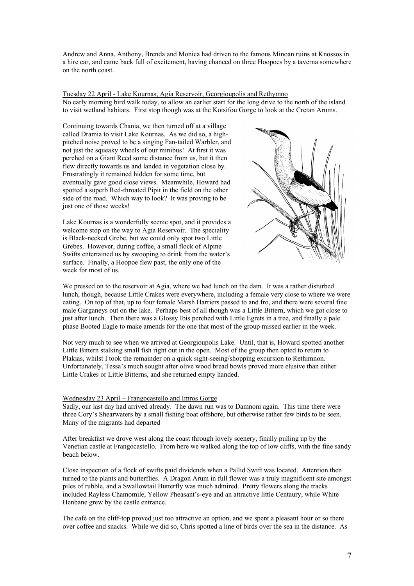Andrew and Anna, Anthony, Brenda and Monica had driven to the famous Minoan ruins at Knossos in a hire car, and came back full of excitement, having chanced on three Hoopoes by a taverna somewhere on the north coast.

Tuesday 22 April - Lake Kournas, Agia Reservoir, Georgioupolis and Rethymno No early morning bird walk today, to allow an earlier start for the long drive to the north of the island to visit wetland habitats. First stop though was at the Kotsifou Gorge to look at the Cretan Arums.

Continuing towards Chania, we then turned off at a village called Dramia to visit Lake Kournas. As we did so, a highpitched noise proved to be a singing Fan-tailed Warbler, and not just the squeaky wheels of our minibus! At first it was perched on a Giant Reed some distance from us, but it then flew directly towards us and landed in vegetation close by. Frustratingly it remained hidden for some time, but eventually gave good close views. Meanwhile, Howard had spotted a superb Red-throated Pipit in the field on the other side of the road. Which way to look? It was proving to be just one of those weeks!

Lake Kournas is a wonderfully scenic spot, and it provides a welcome stop on the way to Agia Reservoir. The speciality is Black-necked Grebe, but we could only spot two Little Grebes. However, during coffee, a small flock of Alpine Swifts entertained us by swooping to drink from the water's surface. Finally, a Hoopoe flew past, the only one of the week for most of us.



We pressed on to the reservoir at Agia, where we had lunch on the dam. It was a rather disturbed lunch, though, because Little Crakes were everywhere, including a female very close to where we were eating. On top of that, up to four female Marsh Harriers passed to and fro, and there were several fine male Garganeys out on the lake. Perhaps best of all though was a Little Bittern, which we got close to just after lunch. Then there was a Glossy Ibis perched with Little Egrets in a tree, and finally a pale phase Booted Eagle to make amends for the one that most of the group missed earlier in the week.

Not very much to see when we arrived at Georgioupolis Lake. Until, that is, Howard spotted another Little Bittern stalking small fish right out in the open. Most of the group then opted to return to Plakias, whilst I took the remainder on a quick sight-seeing/shopping excursion to Rethimnon. Unfortunately, Tessa's much sought after olive wood bread bowls proved more elusive than either Little Crakes or Little Bitterns, and she returned empty handed.

#### Wednesday 23 April – Frangocastello and Imros Gorge

Sadly, our last day had arrived already. The dawn run was to Damnoni again. This time there were three Cory's Shearwaters by a small fishing boat offshore, but otherwise rather few birds to be seen. Many of the migrants had departed

After breakfast we drove west along the coast through lovely scenery, finally pulling up by the Venetian castle at Frangocastello. From here we walked along the top of low cliffs, with the fine sandy beach below.

Close inspection of a flock of swifts paid dividends when a Pallid Swift was located. Attention then turned to the plants and butterflies. A Dragon Arum in full flower was a truly magnificent site amongst piles of rubble, and a Swallowtail Butterfly was much admired. Pretty flowers along the tracks included Rayless Chamomile, Yellow Pheasant's-eye and an attractive little Centaury, while White Henbane grew by the castle entrance.

The café on the cliff-top proved just too attractive an option, and we spent a pleasant hour or so there over coffee and snacks. While we did so, Chris spotted a line of birds over the sea in the distance. As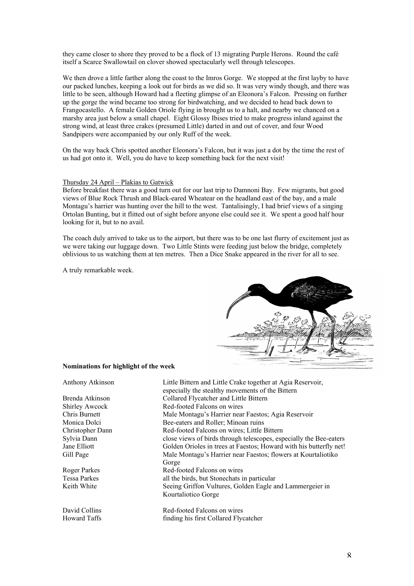they came closer to shore they proved to be a flock of 13 migrating Purple Herons. Round the café itself a Scarce Swallowtail on clover showed spectacularly well through telescopes.

We then drove a little farther along the coast to the Imros Gorge. We stopped at the first layby to have our packed lunches, keeping a look out for birds as we did so. It was very windy though, and there was little to be seen, although Howard had a fleeting glimpse of an Eleonora's Falcon. Pressing on further up the gorge the wind became too strong for birdwatching, and we decided to head back down to Frangocastello. A female Golden Oriole flying in brought us to a halt, and nearby we chanced on a marshy area just below a small chapel. Eight Glossy Ibises tried to make progress inland against the strong wind, at least three crakes (presumed Little) darted in and out of cover, and four Wood Sandpipers were accompanied by our only Ruff of the week.

On the way back Chris spotted another Eleonora's Falcon, but it was just a dot by the time the rest of us had got onto it. Well, you do have to keep something back for the next visit!

#### Thursday 24 April – Plakias to Gatwick

Before breakfast there was a good turn out for our last trip to Damnoni Bay. Few migrants, but good views of Blue Rock Thrush and Black-eared Wheatear on the headland east of the bay, and a male Montagu's harrier was hunting over the hill to the west. Tantalisingly, I had brief views of a singing Ortolan Bunting, but it flitted out of sight before anyone else could see it. We spent a good half hour looking for it, but to no avail.

The coach duly arrived to take us to the airport, but there was to be one last flurry of excitement just as we were taking our luggage down. Two Little Stints were feeding just below the bridge, completely oblivious to us watching them at ten metres. Then a Dice Snake appeared in the river for all to see.

A truly remarkable week.



#### **Nominations for highlight of the week**

| Anthony Atkinson      | Little Bittern and Little Crake together at Agia Reservoir,        |
|-----------------------|--------------------------------------------------------------------|
|                       | especially the stealthy movements of the Bittern                   |
| Brenda Atkinson       | Collared Flycatcher and Little Bittern                             |
| <b>Shirley Awcock</b> | Red-footed Falcons on wires                                        |
| Chris Burnett         | Male Montagu's Harrier near Faestos; Agia Reservoir                |
| Monica Dolci          | Bee-eaters and Roller; Minoan ruins                                |
| Christopher Dann      | Red-footed Falcons on wires; Little Bittern                        |
| Sylvia Dann           | close views of birds through telescopes, especially the Bee-eaters |
| Jane Elliott          | Golden Orioles in trees at Faestos; Howard with his butterfly net! |
| Gill Page             | Male Montagu's Harrier near Faestos; flowers at Kourtaliotiko      |
|                       | Gorge                                                              |
| Roger Parkes          | Red-footed Falcons on wires                                        |
| <b>Tessa Parkes</b>   | all the birds, but Stonechats in particular                        |
| Keith White           | Seeing Griffon Vultures, Golden Eagle and Lammergeier in           |
|                       | Kourtaliotico Gorge                                                |
| David Collins         | Red-footed Falcons on wires                                        |
| Howard Taffs          | finding his first Collared Flycatcher                              |
|                       |                                                                    |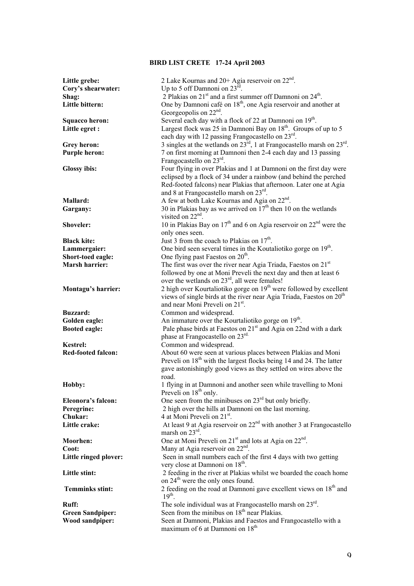# **BIRD LIST CRETE 17-24 April 2003**

| Little grebe:                              | 2 Lake Kournas and 20+ Agia reservoir on 22 <sup>nd</sup> .                                                                      |
|--------------------------------------------|----------------------------------------------------------------------------------------------------------------------------------|
| Cory's shearwater:                         | Up to 5 off Damnoni on $23^{\text{rd}}$ .                                                                                        |
| Shag:                                      | 2 Plakias on $21st$ and a first summer off Damnoni on $24th$ .                                                                   |
| Little bittern:                            | One by Damnoni café on 18 <sup>th</sup> , one Agia reservoir and another at<br>Georgeopolis on 22 <sup>nd</sup> .                |
| <b>Squacco heron:</b>                      | Several each day with a flock of 22 at Damnoni on 19 <sup>th</sup> .                                                             |
| Little egret :                             | Largest flock was 25 in Damnoni Bay on 18 <sup>th</sup> . Groups of up to 5                                                      |
|                                            | each day with 12 passing Frangocastello on 23rd.                                                                                 |
| <b>Grey heron:</b>                         | 3 singles at the wetlands on $23^{\text{rd}}$ , 1 at Frangocastello marsh on $23^{\text{rd}}$ .                                  |
| <b>Purple heron:</b>                       | 7 on first morning at Damnoni then 2-4 each day and 13 passing                                                                   |
|                                            | Frangocastello on $23^{\text{rd}}$ .                                                                                             |
| <b>Glossy</b> ibis:                        | Four flying in over Plakias and 1 at Damnoni on the first day were                                                               |
|                                            | eclipsed by a flock of 34 under a rainbow (and behind the perched                                                                |
|                                            | Red-footed falcons) near Plakias that afternoon. Later one at Agia                                                               |
|                                            | and 8 at Frangocastello marsh on 23 <sup>rd</sup> .                                                                              |
| <b>Mallard:</b>                            | A few at both Lake Kournas and Agia on 22 <sup>nd</sup> .                                                                        |
| Gargany:                                   | 30 in Plakias bay as we arrived on $17th$ then 10 on the wetlands                                                                |
|                                            | visited on 22 <sup>nd</sup> .                                                                                                    |
| Shoveler:                                  | 10 in Plakias Bay on $17th$ and 6 on Agia reservoir on $22nd$ were the                                                           |
|                                            | only ones seen.                                                                                                                  |
| <b>Black kite:</b>                         | Just 3 from the coach to Plakias on $17th$ .                                                                                     |
| Lammergaier:                               | One bird seen several times in the Koutaliotiko gorge on 19 <sup>th</sup> .                                                      |
| Short-toed eagle:<br><b>Marsh harrier:</b> | One flying past Faestos on 20 <sup>th</sup> .<br>The first was over the river near Agia Triada, Faestos on 21 <sup>st</sup>      |
|                                            | followed by one at Moni Preveli the next day and then at least 6                                                                 |
|                                            | over the wetlands on $23^{\text{rd}}$ , all were females!                                                                        |
| Montagu's harrier:                         | 2 high over Kourtaliotiko gorge on $19th$ were followed by excellent                                                             |
|                                            | views of single birds at the river near Agia Triada, Faestos on 20 <sup>th</sup>                                                 |
|                                            | and near Moni Preveli on 21 <sup>st</sup> .                                                                                      |
| <b>Buzzard:</b>                            | Common and widespread.                                                                                                           |
| Golden eagle:                              | An immature over the Kourtaliotiko gorge on 19 <sup>th</sup> .                                                                   |
| <b>Booted eagle:</b>                       | Pale phase birds at Faestos on 21 <sup>st</sup> and Agia on 22nd with a dark                                                     |
|                                            | phase at Frangocastello on 23 <sup>rd.</sup>                                                                                     |
| <b>Kestrel:</b>                            | Common and widespread.                                                                                                           |
| <b>Red-footed falcon:</b>                  | About 60 were seen at various places between Plakias and Moni                                                                    |
|                                            | Preveli on 18 <sup>th</sup> with the largest flocks being 14 and 24. The latter                                                  |
|                                            | gave astonishingly good views as they settled on wires above the                                                                 |
|                                            | road.                                                                                                                            |
| Hobby:                                     | 1 flying in at Damnoni and another seen while travelling to Moni<br>Preveli on 18 <sup>th</sup> only.                            |
| Eleonora's falcon:                         | One seen from the minibuses on $23^{\text{rd}}$ but only briefly.                                                                |
| Peregrine:                                 | 2 high over the hills at Damnoni on the last morning.                                                                            |
| Chukar:                                    | 4 at Moni Preveli on 21 <sup>st</sup> .                                                                                          |
| Little crake:                              | At least 9 at Agia reservoir on $22nd$ with another 3 at Frangocastello                                                          |
|                                            | marsh on $23^{\text{rd}}$ .                                                                                                      |
| Moorhen:                                   | One at Moni Preveli on 21 <sup>st</sup> and lots at Agia on 22 <sup>nd</sup> .                                                   |
| Coot:                                      | Many at Agia reservoir on $22nd$ .                                                                                               |
| Little ringed plover:                      | Seen in small numbers each of the first 4 days with two getting                                                                  |
|                                            | very close at Damnoni on 18 <sup>th</sup> .                                                                                      |
| Little stint:                              | 2 feeding in the river at Plakias whilst we boarded the coach home                                                               |
|                                            | on 24 <sup>th</sup> were the only ones found.                                                                                    |
| <b>Temminks stint:</b>                     | 2 feeding on the road at Damnoni gave excellent views on 18 <sup>th</sup> and                                                    |
|                                            | $19th$ .                                                                                                                         |
| <b>Ruff:</b>                               | The sole individual was at Frangocastello marsh on $23^{\text{rd}}$ .<br>Seen from the minibus on 18 <sup>th</sup> near Plakias. |
| <b>Green Sandpiper:</b><br>Wood sandpiper: | Seen at Damnoni, Plakias and Faestos and Frangocastello with a                                                                   |
|                                            | maximum of 6 at Damnoni on 18 <sup>th</sup>                                                                                      |
|                                            |                                                                                                                                  |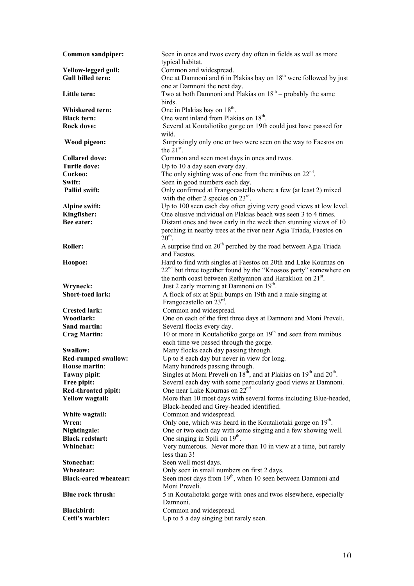| <b>Common sandpiper:</b>                        | Seen in ones and twos every day often in fields as well as more<br>typical habitat.                        |
|-------------------------------------------------|------------------------------------------------------------------------------------------------------------|
|                                                 |                                                                                                            |
| Yellow-legged gull:<br><b>Gull billed tern:</b> | Common and widespread.<br>One at Damnoni and 6 in Plakias bay on 18 <sup>th</sup> were followed by just    |
|                                                 | one at Damnoni the next day.                                                                               |
| Little tern:                                    | Two at both Damnoni and Plakias on $18^{th}$ – probably the same                                           |
|                                                 | birds.                                                                                                     |
| Whiskered tern:                                 | One in Plakias bay on 18 <sup>th</sup> .                                                                   |
| <b>Black tern:</b>                              | One went inland from Plakias on 18 <sup>th</sup> .                                                         |
| <b>Rock dove:</b>                               | Several at Koutaliotiko gorge on 19th could just have passed for                                           |
|                                                 | wild.                                                                                                      |
| Wood pigeon:                                    | Surprisingly only one or two were seen on the way to Faestos on                                            |
|                                                 | the $21st$ .                                                                                               |
| <b>Collared dove:</b>                           | Common and seen most days in ones and twos.                                                                |
| <b>Turtle dove:</b>                             | Up to 10 a day seen every day.                                                                             |
| Cuckoo:                                         | The only sighting was of one from the minibus on $22nd$ .                                                  |
| Swift:                                          | Seen in good numbers each day.                                                                             |
| Pallid swift:                                   | Only confirmed at Frangocastello where a few (at least 2) mixed                                            |
|                                                 | with the other 2 species on $23^{\text{rd}}$ .                                                             |
| Alpine swift:                                   | Up to 100 seen each day often giving very good views at low level.                                         |
| Kingfisher:                                     | One elusive individual on Plakias beach was seen 3 to 4 times.                                             |
| Bee eater:                                      | Distant ones and twos early in the week then stunning views of 10                                          |
|                                                 | perching in nearby trees at the river near Agia Triada, Faestos on                                         |
|                                                 | $20th$ .                                                                                                   |
| Roller:                                         | A surprise find on 20 <sup>th</sup> perched by the road between Agia Triada                                |
|                                                 | and Faestos.                                                                                               |
| Hoopoe:                                         | Hard to find with singles at Faestos on 20th and Lake Kournas on                                           |
|                                                 | 22 <sup>nd</sup> but three together found by the "Knossos party" somewhere on                              |
|                                                 | the north coast between Rethymnon and Haraklion on 21st.                                                   |
| Wryneck:                                        | Just 2 early morning at Damnoni on 19 <sup>th</sup> .                                                      |
| <b>Short-toed lark:</b>                         | A flock of six at Spili bumps on 19th and a male singing at                                                |
|                                                 | Frangocastello on $23^{\text{rd}}$ .                                                                       |
| <b>Crested lark:</b>                            | Common and widespread.                                                                                     |
| Woodlark:                                       | One on each of the first three days at Damnoni and Moni Preveli.                                           |
| Sand martin:                                    | Several flocks every day.                                                                                  |
| <b>Crag Martin:</b>                             | 10 or more in Koutaliotiko gorge on 19 <sup>th</sup> and seen from minibus                                 |
|                                                 | each time we passed through the gorge.                                                                     |
| Swallow:                                        | Many flocks each day passing through.                                                                      |
| <b>Red-rumped swallow:</b>                      | Up to 8 each day but never in view for long.                                                               |
| House martin:                                   | Many hundreds passing through.                                                                             |
| Tawny pipit:                                    | Singles at Moni Preveli on $18^{\overline{h}}$ , and at Plakias on $19^{\text{th}}$ and $20^{\text{th}}$ . |
| Tree pipit:                                     | Several each day with some particularly good views at Damnoni.                                             |
| Red-throated pipit:                             | One near Lake Kournas on 22 <sup>nd.</sup>                                                                 |
| <b>Yellow wagtail:</b>                          | More than 10 most days with several forms including Blue-headed,                                           |
|                                                 | Black-headed and Grey-headed identified.                                                                   |
| White wagtail:                                  | Common and widespread.                                                                                     |
| Wren:                                           | Only one, which was heard in the Koutaliotaki gorge on 19 <sup>th</sup> .                                  |
| Nightingale:                                    | One or two each day with some singing and a few showing well.                                              |
| <b>Black redstart:</b>                          | One singing in Spili on 19 <sup>th</sup> .                                                                 |
| Whinchat:                                       | Very numerous. Never more than 10 in view at a time, but rarely                                            |
|                                                 | less than 3!                                                                                               |
| Stonechat:                                      | Seen well most days.                                                                                       |
| Wheatear:                                       | Only seen in small numbers on first 2 days.                                                                |
| <b>Black-eared wheatear:</b>                    | Seen most days from 19 <sup>th</sup> , when 10 seen between Damnoni and                                    |
|                                                 | Moni Preveli.                                                                                              |
| <b>Blue rock thrush:</b>                        | 5 in Koutaliotaki gorge with ones and twos elsewhere, especially                                           |
|                                                 | Damnoni.                                                                                                   |
| <b>Blackbird:</b>                               | Common and widespread.                                                                                     |
| Cetti's warbler:                                | Up to 5 a day singing but rarely seen.                                                                     |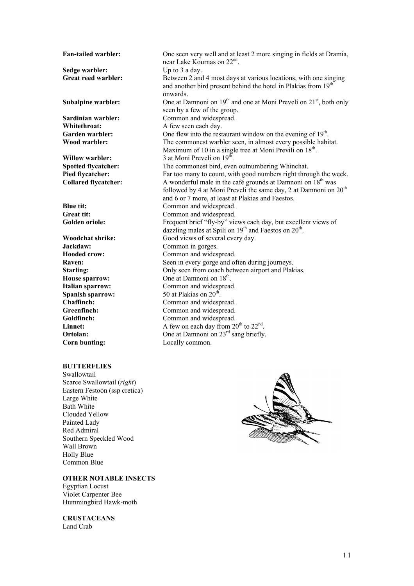**Sedge warbler:** Up to 3 a day. **Sardinian warbler:** Common and widespread.<br> **Whitethroat:** A few seen each day. **Willow warbler:** 3 at Moni Preveli on 19<sup>th</sup>. **Blue tit:** Common and widespread.<br> **Great tit:** Common and widespread. **Woodchat shrike:** Good views of several every day. **Jackdaw:** Common in gorges. **Hooded crow:** Common and widespread. **House sparrow:** One at Damnoni on 18<sup>th</sup>. **Italian sparrow:** Common and widespread. **Spanish sparrow:** 50 at Plakias on 20<sup>th</sup>. **Chaffinch:** Common and widespread. Greenfinch: Common and widespread. **Goldfinch:** Common and widespread. **Linnet:** A few on each day from  $20^{th}$  to  $22^{nd}$ . **Corn bunting:** Locally common.

# **BUTTERFLIES**

Swallowtail Scarce Swallowtail (*right*) Eastern Festoon (ssp cretica) Large White Bath White Clouded Yellow Painted Lady Red Admiral Southern Speckled Wood Wall Brown Holly Blue Common Blue

**OTHER NOTABLE INSECTS** Egyptian Locust Violet Carpenter Bee

Hummingbird Hawk-moth

**CRUSTACEANS** Land Crab

**Fan-tailed warbler:** One seen very well and at least 2 more singing in fields at Dramia, near Lake Kournas on 22nd. **Great reed warbler:** Between 2 and 4 most days at various locations, with one singing and another bird present behind the hotel in Plakias from 19<sup>th</sup> onwards. **Subalpine warbler:** One at Damnoni on  $19<sup>th</sup>$  and one at Moni Preveli on  $21<sup>st</sup>$ , both only seen by a few of the group. A few seen each day. Garden warbler: One flew into the restaurant window on the evening of 19<sup>th</sup>. **Wood warbler:** The commonest warbler seen, in almost every possible habitat. Maximum of 10 in a single tree at Moni Previli on  $18<sup>th</sup>$ . **Spotted flycatcher:** The commonest bird, even outnumbering Whinchat. **Pied flycatcher:** Far too many to count, with good numbers right through the week. **Collared flycatcher:** A wonderful male in the café grounds at Damnoni on 18<sup>th</sup> was followed by 4 at Moni Preveli the same day, 2 at Damnoni on 20<sup>th</sup> and 6 or 7 more, at least at Plakias and Faestos. Common and widespread. Golden oriole: Frequent brief "fly-by" views each day, but excellent views of dazzling males at Spili on  $19<sup>th</sup>$  and Faestos on  $20<sup>th</sup>$ . **Raven:** Seen in every gorge and often during journeys. **Starling:** Only seen from coach between airport and Plakias. **Ortolan:** One at Damnoni on 23<sup>rd</sup> sang briefly.

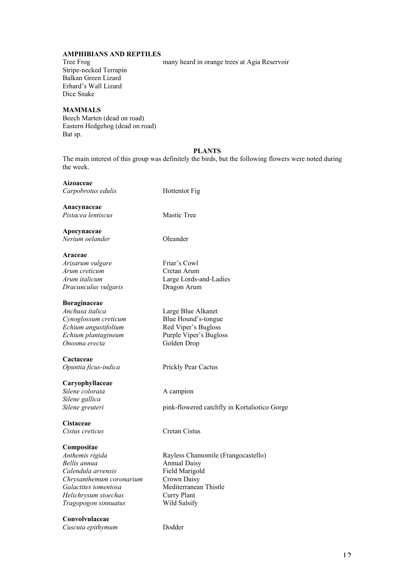## **AMPHIBIANS AND REPTILES**

Stripe-necked Terrapin Balkan Green Lizard Erhard's Wall Lizard Dice Snake

#### Tree Frog many heard in orange trees at Agia Reservoir

**MAMMALS** Beech Marten (dead on road) Eastern Hedgehog (dead on road) Bat sp.

#### **PLANTS**

The main interest of this group was definitely the birds, but the following flowers were noted during the week.

#### **Aizoaceae**

**Araceae**

*Carpobrotus edulis* Hottentot Fig

**Anacynaceae** *Pistacea lentiscus* Mastic Tree

**Apocynaceae** *Nerium oelander* Oleander

*Arisarum vulgare* Friar's Cowl *Arum creticum* Cretan Arum *Arum italicum* Large Lords-and-Ladies *Dracunculus vulgaris* Dragon Arum

**Boraginaceae** *Anchusa italica* Large Blue Alkanet *Cynoglossum creticum* Blue Hound's-tongue *Echium angustifolium* Red Viper's Bugloss *Onosma erecta* Golden Drop

**Cactaceae** *Opuntia ficus-indica* Prickly Pear Cactus

**Caryophyllaceae** *Silene colorata* A campion *Silene gallica*

**Cistaceae** *Cistus creticus* Cretan Cistus

#### **Compositae**

*Bellis annua* Annual Daisy *Calendula arvensis* Field Marigold **Chrysanthemum coronarium**<br> **Crown Daisy**<br> **Galactites tomentosa**<br> **Mediterranean Thistle** Galactites tomentosa *Helichrysum stoechas* Curry Plant *Tragopogon sinnuatus* Wild Salsify

**Convolvulaceae**

*Cuscuta epithymum* Dodder

*Echium plantagineum* Purple Viper's Bugloss

*Silene greuteri pink-flowered catchfly in Kortaliotico Gorge* 

*Anthemis rigida* Rayless Chamomile (Frangocastello)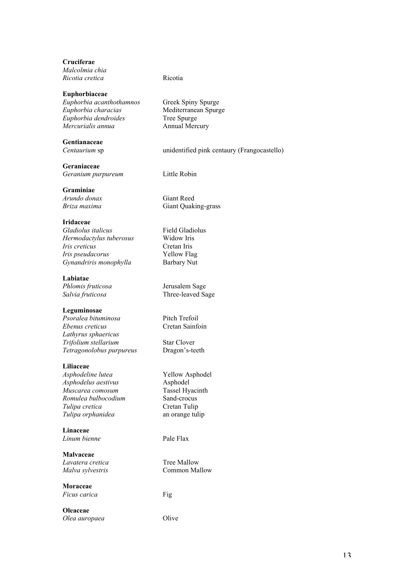**Cruciferae** *Malcolmia chia Ricotia cretica* Ricotia

#### **Euphorbiaceae**

*Euphorbia acanthothamnos* Greek Spiny Spurge *Euphorbia characias* Mediterranean Spurge *Euphorbia dendroides*<br>*Mercurialis annua* 

# **Gentianaceae**

**Geraniaceae** *Geranium purpureum* Little Robin

**Graminiae**

#### **Iridaceae**

*Gladiolus italicus* Field Gladiolus *Hermodactylus tuberosus* Widow Iris *Iris creticus* Cretan Iris *Iris pseudacorus* Yellow Flag<br>*Gynandriris monophylla* Barbary Nut *Gynandriris monophylla* 

#### **Labiatae**

# **Leguminosae**

*Psoralea bituminosa* Pitch Trefoil *Ebenus creticus* Cretan Sainfoin *Lathyrus sphaericus Trifolium stellarium* Star Clover *Tetragonolobus purpureus* Dragon's-teeth

# **Liliaceae**

*Asphodeline lutea* Yellow Asphodel *Asphodelus aestivus* Asphodel *Muscarea comosum* Tassel Hyacinth *Romulea bulbocodium* Sand-crocus *Tulipa cretica* Cretan Tulip *Tulipa orphanidea* an orange tulip

**Linaceae** *Linum bienne* Pale Flax

**Malvaceae** *Lavatera cretica* Tree Mallow

**Moraceae** *Ficus carica* Fig

**Oleaceae** *Olea auropaea* Olive

*Mercurialis annua* Annual Mercury

*Centaurium* sp unidentified pink centaury (Frangocastello)

*Arundo donax* Giant Reed *Briza maxima* Giant Quaking-grass

*Phlomis fruticosa* Jerusalem Sage *Salvia fruticosa* Three-leaved Sage

*Malva sylvestris* Common Mallow